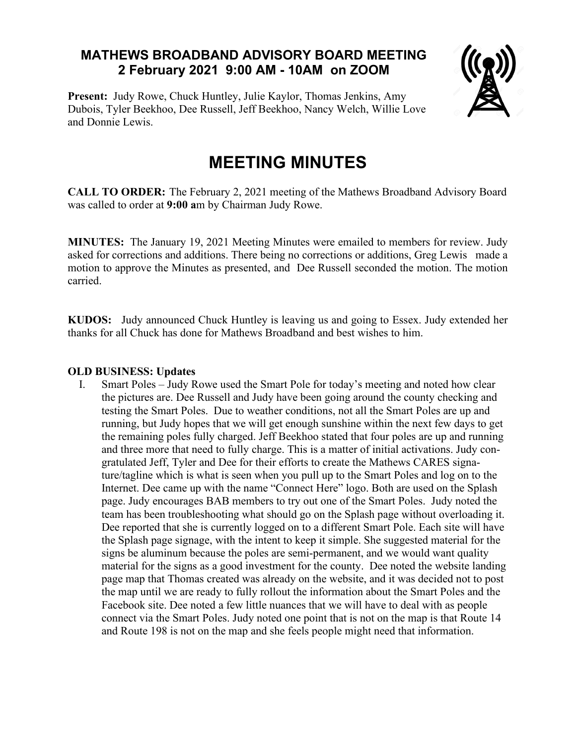## **MATHEWS BROADBAND ADVISORY BOARD MEETING 2 February 2021 9:00 AM - 10AM on ZOOM**

**Present:** Judy Rowe, Chuck Huntley, Julie Kaylor, Thomas Jenkins, Amy Dubois, Tyler Beekhoo, Dee Russell, Jeff Beekhoo, Nancy Welch, Willie Love and Donnie Lewis.



## **MEETING MINUTES**

**CALL TO ORDER:** The February 2, 2021 meeting of the Mathews Broadband Advisory Board was called to order at **9:00 a**m by Chairman Judy Rowe.

**MINUTES:** The January 19, 2021 Meeting Minutes were emailed to members for review. Judy asked for corrections and additions. There being no corrections or additions, Greg Lewis made a motion to approve the Minutes as presented, and Dee Russell seconded the motion. The motion carried.

**KUDOS:** Judy announced Chuck Huntley is leaving us and going to Essex. Judy extended her thanks for all Chuck has done for Mathews Broadband and best wishes to him.

## **OLD BUSINESS: Updates**

I. Smart Poles – Judy Rowe used the Smart Pole for today's meeting and noted how clear the pictures are. Dee Russell and Judy have been going around the county checking and testing the Smart Poles. Due to weather conditions, not all the Smart Poles are up and running, but Judy hopes that we will get enough sunshine within the next few days to get the remaining poles fully charged. Jeff Beekhoo stated that four poles are up and running and three more that need to fully charge. This is a matter of initial activations. Judy congratulated Jeff, Tyler and Dee for their efforts to create the Mathews CARES signature/tagline which is what is seen when you pull up to the Smart Poles and log on to the Internet. Dee came up with the name "Connect Here" logo. Both are used on the Splash page. Judy encourages BAB members to try out one of the Smart Poles. Judy noted the team has been troubleshooting what should go on the Splash page without overloading it. Dee reported that she is currently logged on to a different Smart Pole. Each site will have the Splash page signage, with the intent to keep it simple. She suggested material for the signs be aluminum because the poles are semi-permanent, and we would want quality material for the signs as a good investment for the county. Dee noted the website landing page map that Thomas created was already on the website, and it was decided not to post the map until we are ready to fully rollout the information about the Smart Poles and the Facebook site. Dee noted a few little nuances that we will have to deal with as people connect via the Smart Poles. Judy noted one point that is not on the map is that Route 14 and Route 198 is not on the map and she feels people might need that information.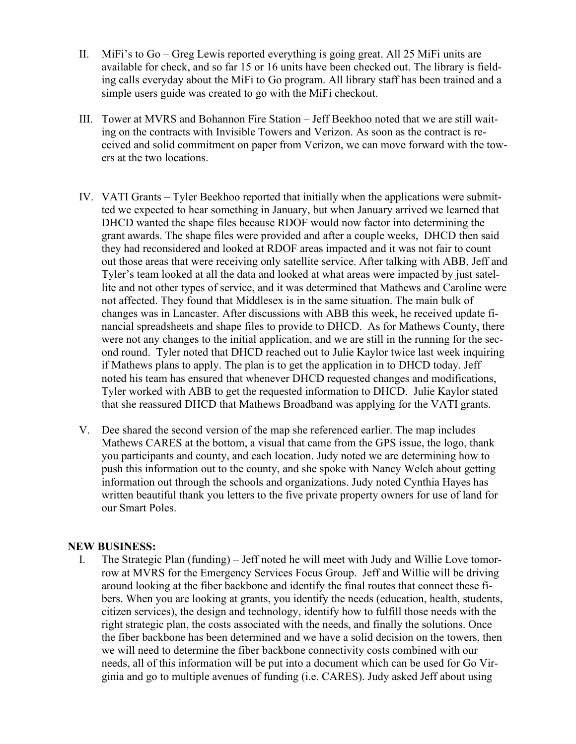- II. MiFi's to Go Greg Lewis reported everything is going great. All 25 MiFi units are available for check, and so far 15 or 16 units have been checked out. The library is fielding calls everyday about the MiFi to Go program. All library staff has been trained and a simple users guide was created to go with the MiFi checkout.
- III. Tower at MVRS and Bohannon Fire Station Jeff Beekhoo noted that we are still waiting on the contracts with Invisible Towers and Verizon. As soon as the contract is received and solid commitment on paper from Verizon, we can move forward with the towers at the two locations.
- IV. VATI Grants Tyler Beekhoo reported that initially when the applications were submitted we expected to hear something in January, but when January arrived we learned that DHCD wanted the shape files because RDOF would now factor into determining the grant awards. The shape files were provided and after a couple weeks, DHCD then said they had reconsidered and looked at RDOF areas impacted and it was not fair to count out those areas that were receiving only satellite service. After talking with ABB, Jeff and Tyler's team looked at all the data and looked at what areas were impacted by just satellite and not other types of service, and it was determined that Mathews and Caroline were not affected. They found that Middlesex is in the same situation. The main bulk of changes was in Lancaster. After discussions with ABB this week, he received update financial spreadsheets and shape files to provide to DHCD. As for Mathews County, there were not any changes to the initial application, and we are still in the running for the second round. Tyler noted that DHCD reached out to Julie Kaylor twice last week inquiring if Mathews plans to apply. The plan is to get the application in to DHCD today. Jeff noted his team has ensured that whenever DHCD requested changes and modifications, Tyler worked with ABB to get the requested information to DHCD. Julie Kaylor stated that she reassured DHCD that Mathews Broadband was applying for the VATI grants.
- V. Dee shared the second version of the map she referenced earlier. The map includes Mathews CARES at the bottom, a visual that came from the GPS issue, the logo, thank you participants and county, and each location. Judy noted we are determining how to push this information out to the county, and she spoke with Nancy Welch about getting information out through the schools and organizations. Judy noted Cynthia Hayes has written beautiful thank you letters to the five private property owners for use of land for our Smart Poles.

## **NEW BUSINESS:**

I. The Strategic Plan (funding) – Jeff noted he will meet with Judy and Willie Love tomorrow at MVRS for the Emergency Services Focus Group. Jeff and Willie will be driving around looking at the fiber backbone and identify the final routes that connect these fibers. When you are looking at grants, you identify the needs (education, health, students, citizen services), the design and technology, identify how to fulfill those needs with the right strategic plan, the costs associated with the needs, and finally the solutions. Once the fiber backbone has been determined and we have a solid decision on the towers, then we will need to determine the fiber backbone connectivity costs combined with our needs, all of this information will be put into a document which can be used for Go Virginia and go to multiple avenues of funding (i.e. CARES). Judy asked Jeff about using